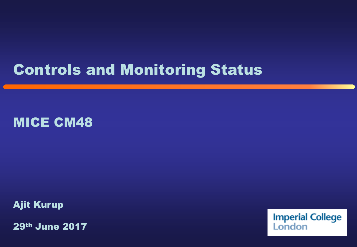#### Controls and Monitoring Status

#### MICE CM48

Ajit Kurup

29th June 2017

**Imperial College**<br>London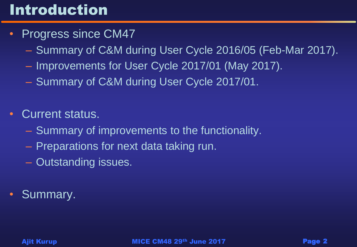### Introduction

- Progress since CM47
	- Summary of C&M during User Cycle 2016/05 (Feb-Mar 2017).
	- Improvements for User Cycle 2017/01 (May 2017).
	- Summary of C&M during User Cycle 2017/01.
- Current status.
	- Summary of improvements to the functionality.
	- Preparations for next data taking run.
	- Outstanding issues.
- Summary.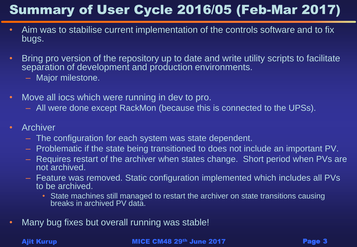#### Summary of User Cycle 2016/05 (Feb-Mar 2017)

- Aim was to stabilise current implementation of the controls software and to fix bugs.
- Bring pro version of the repository up to date and write utility scripts to facilitate separation of development and production environments.
	- Major milestone.
- Move all iocs which were running in dev to pro.
	- All were done except RackMon (because this is connected to the UPSs).
- Archiver
	- The configuration for each system was state dependent.
	- Problematic if the state being transitioned to does not include an important PV.
	- Requires restart of the archiver when states change. Short period when PVs are not archived.
	- Feature was removed. Static configuration implemented which includes all PVs to be archived.
		- State machines still managed to restart the archiver on state transitions causing breaks in archived PV data.
- Many bug fixes but overall running was stable!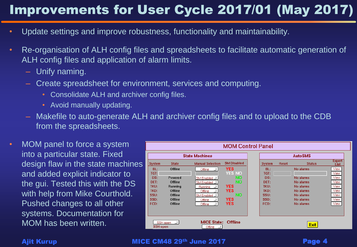#### Improvements for User Cycle 2017/01 (May 2017)

- Update settings and improve robustness, functionality and maintainability.
- Re-organisation of ALH config files and spreadsheets to facilitate automatic generation of ALH config files and application of alarm limits.
	- Unify naming.
	- Create spreadsheet for environment, services and computing.
		- Consolidate ALH and archiver config files.
		- Avoid manually updating.
	- Makefile to auto-generate ALH and archiver config files and to upload to the CDB from the spreadsheets.
- MOM panel to force a system into a particular state. Fixed design flaw in the state machines and added explicit indicator to the gui. Tested this with the DS with help from Mike Courthold. Pushed changes to all other systems. Documentation for MOM has been written.

| <b>MOM Control Panel</b> |                                        |                         |                    |  |                |              |               |                       |
|--------------------------|----------------------------------------|-------------------------|--------------------|--|----------------|--------------|---------------|-----------------------|
| <b>State Machines</b>    |                                        |                         |                    |  | <b>AutoSMS</b> |              |               |                       |
| <b>System</b>            | <b>State</b>                           | <b>Manual Selection</b> | <b>SM Disabled</b> |  | <b>System</b>  | <b>Reset</b> | <b>Status</b> | <b>Expert</b><br>List |
| BL:                      | Offline                                | Offline                 | <b>YES</b>         |  | BL:            |              | No alarms     | View                  |
| TGT:                     |                                        |                         | <b>YES NO</b>      |  | TGT:           |              |               | View                  |
| DS:                      | Powered                                | SM Enabled $\Box$       | NO                 |  | DS:            |              | No alarms     | View                  |
| DET:                     | Offline                                | SM Enabled _            | <b>NO</b>          |  | DET:           |              | No alarms     | View                  |
| TKU:                     | Running                                | Running                 | <b>YES</b>         |  | TKU:           |              | No alarms     | View                  |
| TKD:                     | Offline                                | Offline                 | <b>YES</b>         |  | TKD:           |              | No alarms     | View                  |
| SSU:                     | Offline                                | SM Enabled _            | <b>NO</b>          |  | SSU:           |              | No alarms     | View                  |
| SSD:                     | Offline                                | Offline                 | <b>YES</b>         |  | SSD:           |              | No alarms     | View                  |
| FCD:                     | Offline                                | Offline                 | <b>YES</b>         |  | FCD:           |              | No alarms     | View                  |
|                          |                                        |                         |                    |  |                |              |               |                       |
|                          | <b>Offline</b><br><b>MICE State:</b>   |                         |                    |  |                |              |               |                       |
|                          | SSH open<br><b>SSH open</b><br>Offline |                         |                    |  | <b>Exit</b>    |              |               |                       |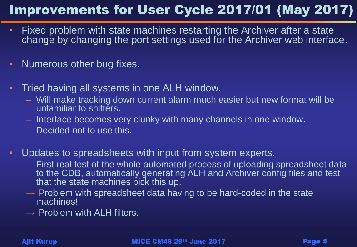#### Improvements for User Cycle 2017/01 (May 2017)

- Fixed problem with state machines restarting the Archiver after a state change by changing the port settings used for the Archiver web interface.
- Numerous other bug fixes.
- Tried having all systems in one ALH window.
	- Will make tracking down current alarm much easier but new format will be unfamiliar to shifters.
	- Interface becomes very clunky with many channels in one window.
	- Decided not to use this.
- Updates to spreadsheets with input from system experts.
	- First real test of the whole automated process of uploading spreadsheet data to the CDB, automatically generating ALH and Archiver config files and test that the state machines pick this up.
	- $\rightarrow$  Problem with spreadsheet data having to be hard-coded in the state machines!
	- $\rightarrow$  Problem with ALH filters.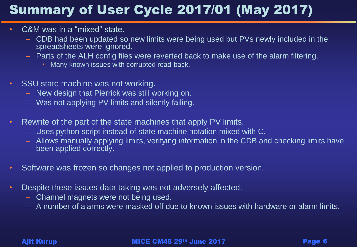#### Summary of User Cycle 2017/01 (May 2017)

- C&M was in a "mixed" state.
	- CDB had been updated so new limits were being used but PVs newly included in the spreadsheets were ignored.
	- Parts of the ALH config files were reverted back to make use of the alarm filtering.
		- Many known issues with corrupted read-back.
- SSU state machine was not working.
	- New design that Pierrick was still working on.
	- Was not applying PV limits and silently failing.
- Rewrite of the part of the state machines that apply PV limits.
	- Uses python script instead of state machine notation mixed with C.
	- Allows manually applying limits, verifying information in the CDB and checking limits have been applied correctly.
- Software was frozen so changes not applied to production version.
- Despite these issues data taking was not adversely affected.
	- Channel magnets were not being used.
	- A number of alarms were masked off due to known issues with hardware or alarm limits.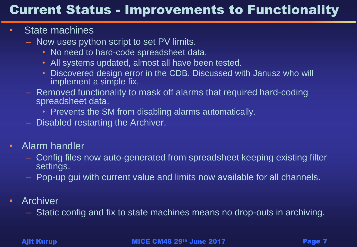#### Current Status - Improvements to Functionality

#### • State machines

- Now uses python script to set PV limits.
	- No need to hard-code spreadsheet data.
	- All systems updated, almost all have been tested.
	- Discovered design error in the CDB. Discussed with Janusz who will implement a simple fix.
- Removed functionality to mask off alarms that required hard-coding spreadsheet data.
	- Prevents the SM from disabling alarms automatically.
- Disabled restarting the Archiver.
- Alarm handler
	- Config files now auto-generated from spreadsheet keeping existing filter settings.
	- Pop-up gui with current value and limits now available for all channels.
- Archiver
	- Static config and fix to state machines means no drop-outs in archiving.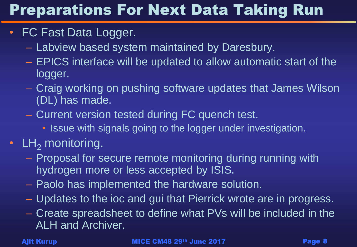# Preparations For Next Data Taking Run

- FC Fast Data Logger.
	- Labview based system maintained by Daresbury.
	- EPICS interface will be updated to allow automatic start of the logger.
	- Craig working on pushing software updates that James Wilson (DL) has made.
	- Current version tested during FC quench test.
		- Issue with signals going to the logger under investigation.

#### •  $LH<sub>2</sub>$  monitoring.

- Proposal for secure remote monitoring during running with hydrogen more or less accepted by ISIS.
- Paolo has implemented the hardware solution.
- Updates to the ioc and gui that Pierrick wrote are in progress.
- Create spreadsheet to define what PVs will be included in the ALH and Archiver.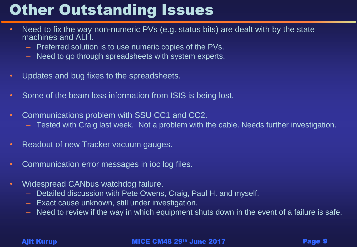## **Other Outstanding Issues**

- Need to fix the way non-numeric PVs (e.g. status bits) are dealt with by the state machines and ALH.
	- Preferred solution is to use numeric copies of the PVs.
	- Need to go through spreadsheets with system experts.
- Updates and bug fixes to the spreadsheets.
- Some of the beam loss information from ISIS is being lost.
- Communications problem with SSU CC1 and CC2.
	- Tested with Craig last week. Not a problem with the cable. Needs further investigation.
- Readout of new Tracker vacuum gauges.
- Communication error messages in ioc log files.
- Widespread CANbus watchdog failure.
	- Detailed discussion with Pete Owens, Craig, Paul H. and myself.
	- Exact cause unknown, still under investigation.
	- Need to review if the way in which equipment shuts down in the event of a failure is safe.

Ajit Kurup **MICE CM48 29<sup>th</sup> June 2017 Page 9**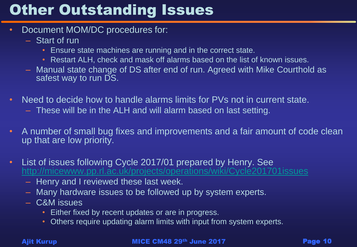## **Other Outstanding Issues**

- Document MOM/DC procedures for:
	- Start of run
		- Ensure state machines are running and in the correct state.
		- Restart ALH, check and mask off alarms based on the list of known issues.
	- Manual state change of DS after end of run. Agreed with Mike Courthold as safest way to run DS.
- Need to decide how to handle alarms limits for PVs not in current state.
	- These will be in the ALH and will alarm based on last setting.
- A number of small bug fixes and improvements and a fair amount of code clean up that are low priority.
- List of issues following Cycle 2017/01 prepared by Henry. See <http://micewww.pp.rl.ac.uk/projects/operations/wiki/Cycle201701issues>
	- Henry and I reviewed these last week.
	- Many hardware issues to be followed up by system experts.
	- C&M issues
		- Either fixed by recent updates or are in progress.
		- Others require updating alarm limits with input from system experts.